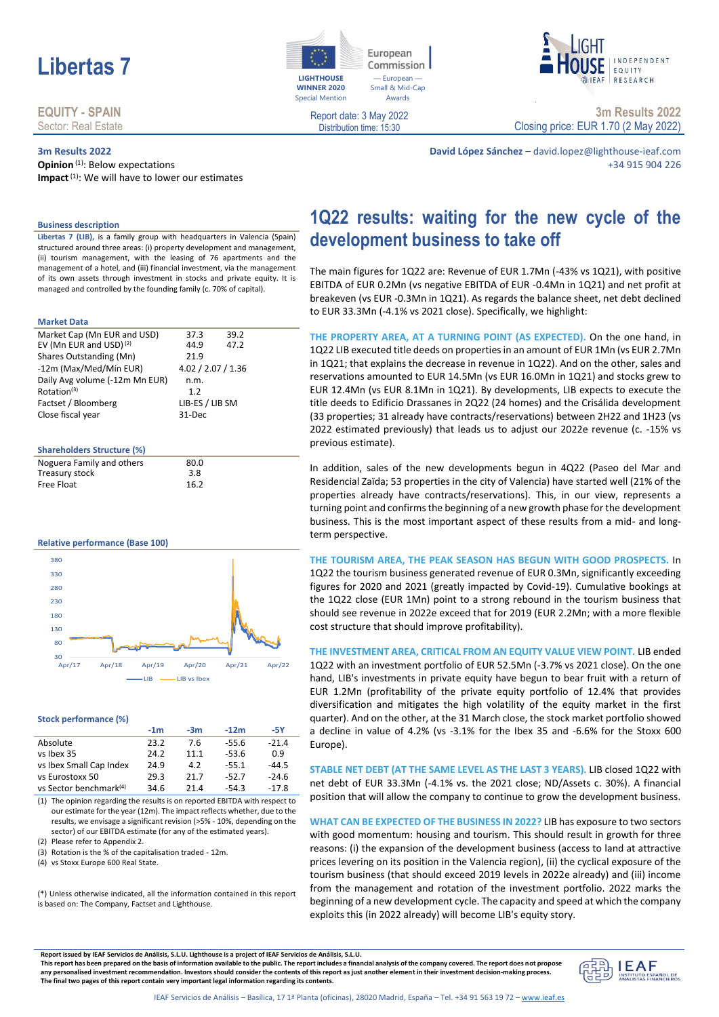

## **EQUITY - SPAIN** Sector: Real Estate

## **3m Results 2022**

**Opinion**<sup>(1)</sup>: Below expectations **Impact**(1): We will have to lower our estimates



European Commission — European — Small & Mid-Cap Awards



Report date: 3 May 2022 Distribution time: 15:30

**3m Results 2022** Closing price: EUR 1.70 (2 May 2022)

**David López Sánchez** – david.lopez@lighthouse-ieaf.com +34 915 904 226

**Business description**

**Libertas 7 (LIB),** is a family group with headquarters in Valencia (Spain) structured around three areas: (i) property development and management, (ii) tourism management, with the leasing of 76 apartments and the management of a hotel, and (iii) financial investment, via the management of its own assets through investment in stocks and private equity. It is managed and controlled by the founding family (c. 70% of capital).

#### **Market Data**

| Market Cap (Mn EUR and USD)        | 37.3               | 39.2 |  |
|------------------------------------|--------------------|------|--|
| EV (Mn EUR and USD) <sup>(2)</sup> | 44.9               | 47.2 |  |
| Shares Outstanding (Mn)            | 21.9               |      |  |
| -12m (Max/Med/Mín EUR)             | 4.02 / 2.07 / 1.36 |      |  |
| Daily Avg volume (-12m Mn EUR)     | n.m.               |      |  |
| Rotation <sup>(3)</sup>            | 1.2                |      |  |
| Factset / Bloomberg                | LIB-ES / LIB SM    |      |  |
| Close fiscal year                  | 31-Dec             |      |  |
|                                    |                    |      |  |

### **Shareholders Structure (%)**

| Noguera Family and others | 80.0 |  |
|---------------------------|------|--|
| Treasury stock            | 3.8  |  |
| Free Float                | 16.2 |  |

#### **Relative performance (Base 100)**



#### **Stock performance (%)**

|                                    | $-1m$ | $-3m$      | $-12m$  | -5Y     |
|------------------------------------|-------|------------|---------|---------|
| Absolute                           | 23.2  | 7.6        | $-55.6$ | $-21.4$ |
| vs Ibex 35                         | 24.2  | 11.1       | $-53.6$ | 0.9     |
| vs Ibex Small Cap Index            | 24.9  | 4.2        | $-55.1$ | $-44.5$ |
| vs Eurostoxx 50                    | 29.3  | 21.7       | $-52.7$ | $-24.6$ |
| vs Sector benchmark <sup>(4)</sup> | 34.6  | $21\Delta$ | $-54.3$ | $-17.8$ |

(1) The opinion regarding the results is on reported EBITDA with respect to our estimate for the year (12m). The impact reflects whether, due to the results, we envisage a significant revision (>5% - 10%, depending on the sector) of our EBITDA estimate (for any of the estimated years).

(2) Please refer to Appendix 2.

(3) Rotation is the % of the capitalisation traded - 12m.

(4) vs Stoxx Europe 600 Real State.

(\*) Unless otherwise indicated, all the information contained in this report is based on: The Company, Factset and Lighthouse.

**1Q22 results: waiting for the new cycle of the development business to take off**

The main figures for 1Q22 are: Revenue of EUR 1.7Mn (-43% vs 1Q21), with positive EBITDA of EUR 0.2Mn (vs negative EBITDA of EUR -0.4Mn in 1Q21) and net profit at breakeven (vs EUR -0.3Mn in 1Q21). As regards the balance sheet, net debt declined to EUR 33.3Mn (-4.1% vs 2021 close). Specifically, we highlight:

**THE PROPERTY AREA, AT A TURNING POINT (AS EXPECTED).** On the one hand, in 1Q22 LIB executed title deeds on properties in an amount of EUR 1Mn (vs EUR 2.7Mn in 1Q21; that explains the decrease in revenue in 1Q22). And on the other, sales and reservations amounted to EUR 14.5Mn (vs EUR 16.0Mn in 1Q21) and stocks grew to EUR 12.4Mn (vs EUR 8.1Mn in 1Q21). By developments, LIB expects to execute the title deeds to Edificio Drassanes in 2Q22 (24 homes) and the Crisálida development (33 properties; 31 already have contracts/reservations) between 2H22 and 1H23 (vs 2022 estimated previously) that leads us to adjust our 2022e revenue (c. -15% vs previous estimate).

In addition, sales of the new developments begun in 4Q22 (Paseo del Mar and Residencial Zaïda; 53 properties in the city of Valencia) have started well (21% of the properties already have contracts/reservations). This, in our view, represents a turning point and confirms the beginning of a new growth phase for the development business. This is the most important aspect of these results from a mid- and longterm perspective.

**THE TOURISM AREA, THE PEAK SEASON HAS BEGUN WITH GOOD PROSPECTS.** In 1Q22 the tourism business generated revenue of EUR 0.3Mn, significantly exceeding figures for 2020 and 2021 (greatly impacted by Covid-19). Cumulative bookings at the 1Q22 close (EUR 1Mn) point to a strong rebound in the tourism business that should see revenue in 2022e exceed that for 2019 (EUR 2.2Mn; with a more flexible cost structure that should improve profitability).

**THE INVESTMENT AREA, CRITICAL FROM AN EQUITY VALUE VIEW POINT.** LIB ended 1Q22 with an investment portfolio of EUR 52.5Mn (-3.7% vs 2021 close). On the one hand, LIB's investments in private equity have begun to bear fruit with a return of EUR 1.2Mn (profitability of the private equity portfolio of 12.4% that provides diversification and mitigates the high volatility of the equity market in the first quarter). And on the other, at the 31 March close, the stock market portfolio showed a decline in value of 4.2% (vs -3.1% for the Ibex 35 and -6.6% for the Stoxx 600 Europe).

**STABLE NET DEBT (AT THE SAME LEVEL AS THE LAST 3 YEARS).** LIB closed 1Q22 with net debt of EUR 33.3Mn (-4.1% vs. the 2021 close; ND/Assets c. 30%). A financial position that will allow the company to continue to grow the development business.

**WHAT CAN BE EXPECTED OF THE BUSINESS IN 2022?** LIB has exposure to two sectors with good momentum: housing and tourism. This should result in growth for three reasons: (i) the expansion of the development business (access to land at attractive prices levering on its position in the Valencia region), (ii) the cyclical exposure of the tourism business (that should exceed 2019 levels in 2022e already) and (iii) income from the management and rotation of the investment portfolio. 2022 marks the beginning of a new development cycle. The capacity and speed at which the company exploits this (in 2022 already) will become LIB's equity story.

**Report issued by IEAF Servicios de Análisis, S.L.U. Lighthouse is a project of IEAF Servicios de Análisis, S.L.U.**

**This report has been prepared on the basis of information available to the public. The report includes a financial analysis of the company covered. The report does not propose any personalised investment recommendation. Investors should consider the contents of this report as just another element in their investment decision-making process. The final two pages of this report contain very important legal information regarding its contents.**

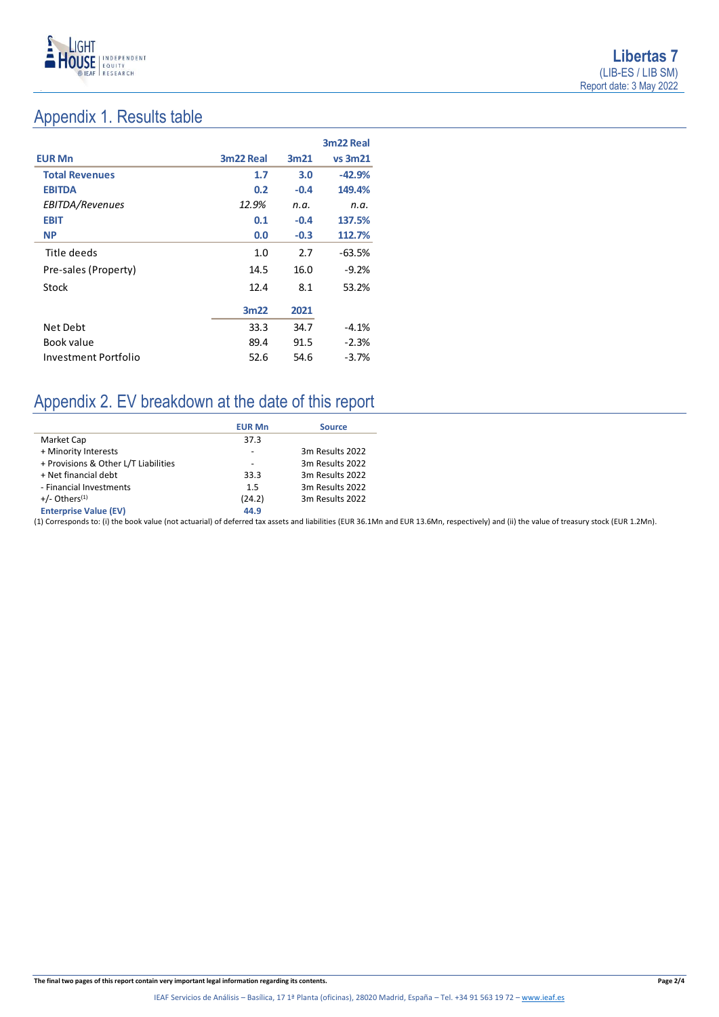

# Appendix 1. Results table

|                       |           |                  | 3m22 Real      |
|-----------------------|-----------|------------------|----------------|
| <b>EUR Mn</b>         | 3m22 Real | 3m <sub>21</sub> | <b>vs 3m21</b> |
| <b>Total Revenues</b> | 1.7       | 3.0              | $-42.9%$       |
| <b>EBITDA</b>         | 0.2       | $-0.4$           | 149.4%         |
| EBITDA/Revenues       | 12.9%     | n.a.             | n.a.           |
| <b>EBIT</b>           | 0.1       | $-0.4$           | 137.5%         |
| <b>NP</b>             | 0.0       | $-0.3$           | 112.7%         |
| Title deeds           | 1.0       | 2.7              | $-63.5%$       |
| Pre-sales (Property)  | 14.5      | 16.0             | $-9.2%$        |
| Stock                 | 12.4      | 8.1              | 53.2%          |
|                       | 3m22      | 2021             |                |
| Net Debt              | 33.3      | 34.7             | $-4.1%$        |
| Book value            | 89.4      | 91.5             | $-2.3%$        |
| Investment Portfolio  | 52.6      | 54.6             | $-3.7%$        |

# Appendix 2. EV breakdown at the date of this report

|                                      | <b>EUR Mn</b> | <b>Source</b>   |
|--------------------------------------|---------------|-----------------|
| Market Cap                           | 37.3          |                 |
| + Minority Interests                 |               | 3m Results 2022 |
| + Provisions & Other L/T Liabilities |               | 3m Results 2022 |
| + Net financial debt                 | 33.3          | 3m Results 2022 |
| - Financial Investments              | 1.5           | 3m Results 2022 |
| $+/-$ Others <sup>(1)</sup>          | (24.2)        | 3m Results 2022 |
| <b>Enterprise Value (EV)</b>         | 44.9          |                 |

(1) Corresponds to: (i) the book value (not actuarial) of deferred tax assets and liabilities (EUR 36.1Mn and EUR 13.6Mn, respectively) and (ii) the value of treasury stock (EUR 1.2Mn).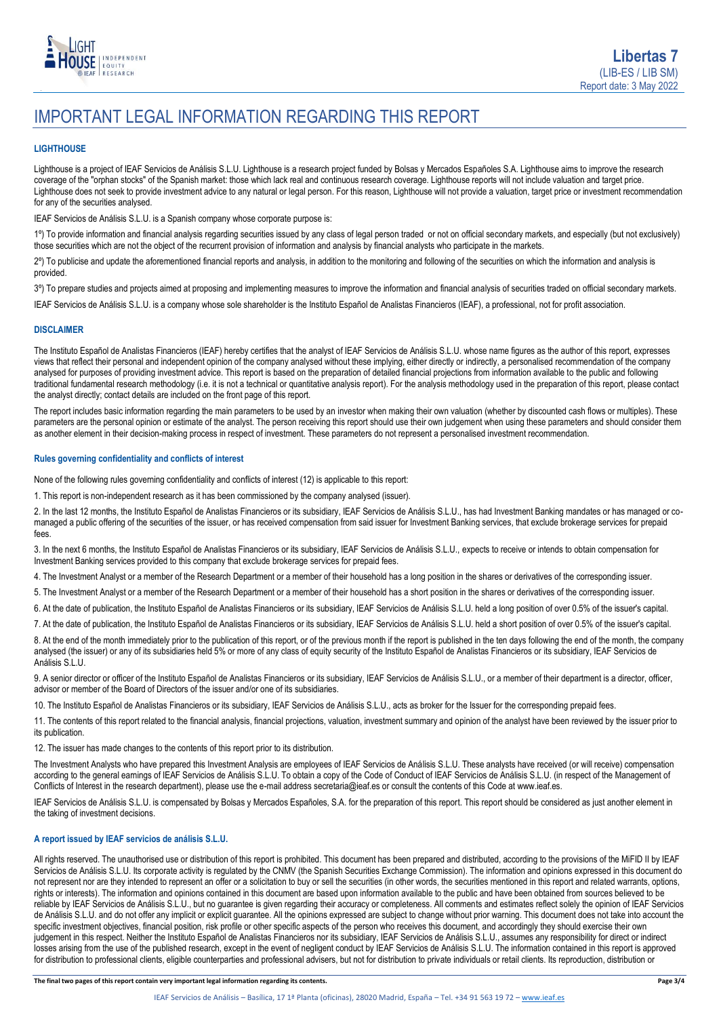

# IMPORTANT LEGAL INFORMATION REGARDING THIS REPORT

### **LIGHTHOUSE**

Lighthouse is a project of IEAF Servicios de Análisis S.L.U. Lighthouse is a research project funded by Bolsas y Mercados Españoles S.A. Lighthouse aims to improve the research coverage of the "orphan stocks" of the Spanish market: those which lack real and continuous research coverage. Lighthouse reports will not include valuation and target price. Lighthouse does not seek to provide investment advice to any natural or legal person. For this reason, Lighthouse will not provide a valuation, target price or investment recommendation for any of the securities analysed.

IEAF Servicios de Análisis S.L.U. is a Spanish company whose corporate purpose is:

1º) To provide information and financial analysis regarding securities issued by any class of legal person traded or not on official secondary markets, and especially (but not exclusively) those securities which are not the object of the recurrent provision of information and analysis by financial analysts who participate in the markets.

2º) To publicise and update the aforementioned financial reports and analysis, in addition to the monitoring and following of the securities on which the information and analysis is provided.

3º) To prepare studies and projects aimed at proposing and implementing measures to improve the information and financial analysis of securities traded on official secondary markets.

IEAF Servicios de Análisis S.L.U. is a company whose sole shareholder is the Instituto Español de Analistas Financieros (IEAF), a professional, not for profit association.

### **DISCLAIMER**

The Instituto Español de Analistas Financieros (IEAF) hereby certifies that the analyst of IEAF Servicios de Análisis S.L.U. whose name figures as the author of this report, expresses views that reflect their personal and independent opinion of the company analysed without these implying, either directly or indirectly, a personalised recommendation of the company analysed for purposes of providing investment advice. This report is based on the preparation of detailed financial projections from information available to the public and following traditional fundamental research methodology (i.e. it is not a technical or quantitative analysis report). For the analysis methodology used in the preparation of this report, please contact the analyst directly; contact details are included on the front page of this report.

The report includes basic information regarding the main parameters to be used by an investor when making their own valuation (whether by discounted cash flows or multiples). These parameters are the personal opinion or estimate of the analyst. The person receiving this report should use their own judgement when using these parameters and should consider them as another element in their decision-making process in respect of investment. These parameters do not represent a personalised investment recommendation.

### **Rules governing confidentiality and conflicts of interest**

None of the following rules governing confidentiality and conflicts of interest (12) is applicable to this report:

1. This report is non-independent research as it has been commissioned by the company analysed (issuer).

2. In the last 12 months, the Instituto Español de Analistas Financieros or its subsidiary, IEAF Servicios de Análisis S.L.U., has had Investment Banking mandates or has managed or comanaged a public offering of the securities of the issuer, or has received compensation from said issuer for Investment Banking services, that exclude brokerage services for prepaid fees.

3. In the next 6 months, the Instituto Español de Analistas Financieros or its subsidiary, IEAF Servicios de Análisis S.L.U., expects to receive or intends to obtain compensation for Investment Banking services provided to this company that exclude brokerage services for prepaid fees.

4. The Investment Analyst or a member of the Research Department or a member of their household has a long position in the shares or derivatives of the corresponding issuer.

5. The Investment Analyst or a member of the Research Department or a member of their household has a short position in the shares or derivatives of the corresponding issuer.

6. At the date of publication, the Instituto Español de Analistas Financieros or its subsidiary, IEAF Servicios de Análisis S.L.U. held a long position of over 0.5% of the issuer's capital.

7. At the date of publication, the Instituto Español de Analistas Financieros or its subsidiary, IEAF Servicios de Análisis S.L.U. held a short position of over 0.5% of the issuer's capital.

8. At the end of the month immediately prior to the publication of this report, or of the previous month if the report is published in the ten days following the end of the month, the company analysed (the issuer) or any of its subsidiaries held 5% or more of any class of equity security of the Instituto Español de Analistas Financieros or its subsidiary, IEAF Servicios de Análisis S.L.U.

9. A senior director or officer of the Instituto Español de Analistas Financieros or its subsidiary, IEAF Servicios de Análisis S.L.U., or a member of their department is a director, officer, advisor or member of the Board of Directors of the issuer and/or one of its subsidiaries.

10. The Instituto Español de Analistas Financieros or its subsidiary, IEAF Servicios de Análisis S.L.U., acts as broker for the Issuer for the corresponding prepaid fees.

11. The contents of this report related to the financial analysis, financial projections, valuation, investment summary and opinion of the analyst have been reviewed by the issuer prior to its publication.

12. The issuer has made changes to the contents of this report prior to its distribution.

The Investment Analysts who have prepared this Investment Analysis are employees of IEAF Servicios de Análisis S.L.U. These analysts have received (or will receive) compensation according to the general earnings of IEAF Servicios de Análisis S.L.U. To obtain a copy of the Code of Conduct of IEAF Servicios de Análisis S.L.U. (in respect of the Management of Conflicts of Interest in the research department), please use the e-mail address secretaria@ieaf.es or consult the contents of this Code at [www.ieaf.es.](https://www.ieaf.es/images/IEAF/LIGHTHOUSE/IEAF_LIGHTHOUSE_CodigoDeConducta.pdf) 

IEAF Servicios de Análisis S.L.U. is compensated by Bolsas y Mercados Españoles, S.A. for the preparation of this report. This report should be considered as just another element in the taking of investment decisions.

### **A report issued by IEAF servicios de análisis S.L.U.**

All rights reserved. The unauthorised use or distribution of this report is prohibited. This document has been prepared and distributed, according to the provisions of the MiFID II by IEAF Servicios de Análisis S.L.U. Its corporate activity is regulated by the CNMV (the Spanish Securities Exchange Commission). The information and opinions expressed in this document do not represent nor are they intended to represent an offer or a solicitation to buy or sell the securities (in other words, the securities mentioned in this report and related warrants, options, rights or interests). The information and opinions contained in this document are based upon information available to the public and have been obtained from sources believed to be reliable by IEAF Servicios de Análisis S.L.U., but no guarantee is given regarding their accuracy or completeness. All comments and estimates reflect solely the opinion of IEAF Servicios de Análisis S.L.U. and do not offer any implicit or explicit guarantee. All the opinions expressed are subject to change without prior warning. This document does not take into account the specific investment objectives, financial position, risk profile or other specific aspects of the person who receives this document, and accordingly they should exercise their own judgement in this respect. Neither the Instituto Español de Analistas Financieros nor its subsidiary, IEAF Servicios de Análisis S.L.U., assumes any responsibility for direct or indirect losses arising from the use of the published research, except in the event of negligent conduct by IEAF Servicios de Análisis S.L.U. The information contained in this report is approved for distribution to professional clients, eligible counterparties and professional advisers, but not for distribution to private individuals or retail clients. Its reproduction, distribution or